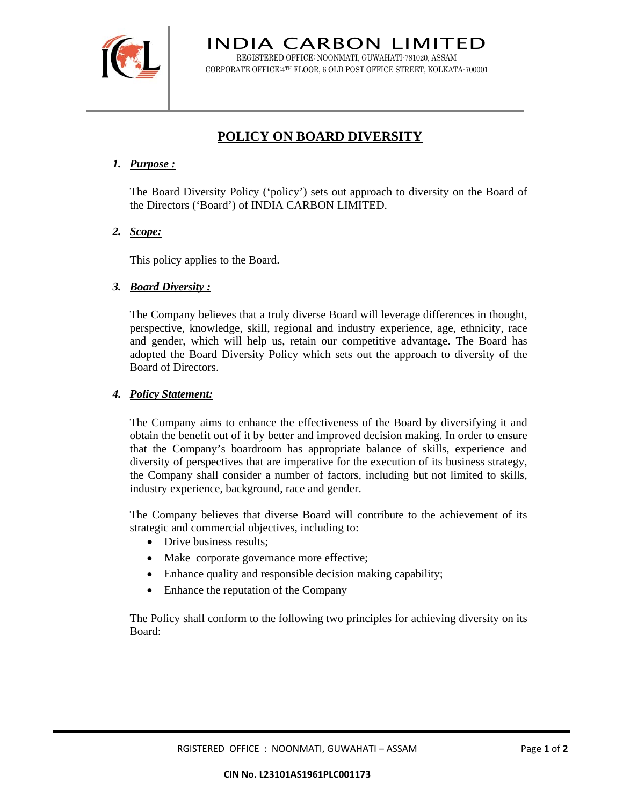

INDIA CARBON LIMITED REGISTERED OFFICE: NOONMATI, GUWAHATI-781020, ASSAM CORPORATE OFFICE:4TH FLOOR, 6 OLD POST OFFICE STREET, KOLKATA-700001

# **POLICY ON BOARD DIVERSITY**

# *1. Purpose :*

The Board Diversity Policy ('policy') sets out approach to diversity on the Board of the Directors ('Board') of INDIA CARBON LIMITED.

*2. Scope:*

This policy applies to the Board.

### *3. Board Diversity :*

The Company believes that a truly diverse Board will leverage differences in thought, perspective, knowledge, skill, regional and industry experience, age, ethnicity, race and gender, which will help us, retain our competitive advantage. The Board has adopted the Board Diversity Policy which sets out the approach to diversity of the Board of Directors.

### *4. Policy Statement:*

The Company aims to enhance the effectiveness of the Board by diversifying it and obtain the benefit out of it by better and improved decision making. In order to ensure that the Company's boardroom has appropriate balance of skills, experience and diversity of perspectives that are imperative for the execution of its business strategy, the Company shall consider a number of factors, including but not limited to skills, industry experience, background, race and gender.

The Company believes that diverse Board will contribute to the achievement of its strategic and commercial objectives, including to:

- Drive business results;
- Make corporate governance more effective;
- Enhance quality and responsible decision making capability;
- Enhance the reputation of the Company

The Policy shall conform to the following two principles for achieving diversity on its Board: